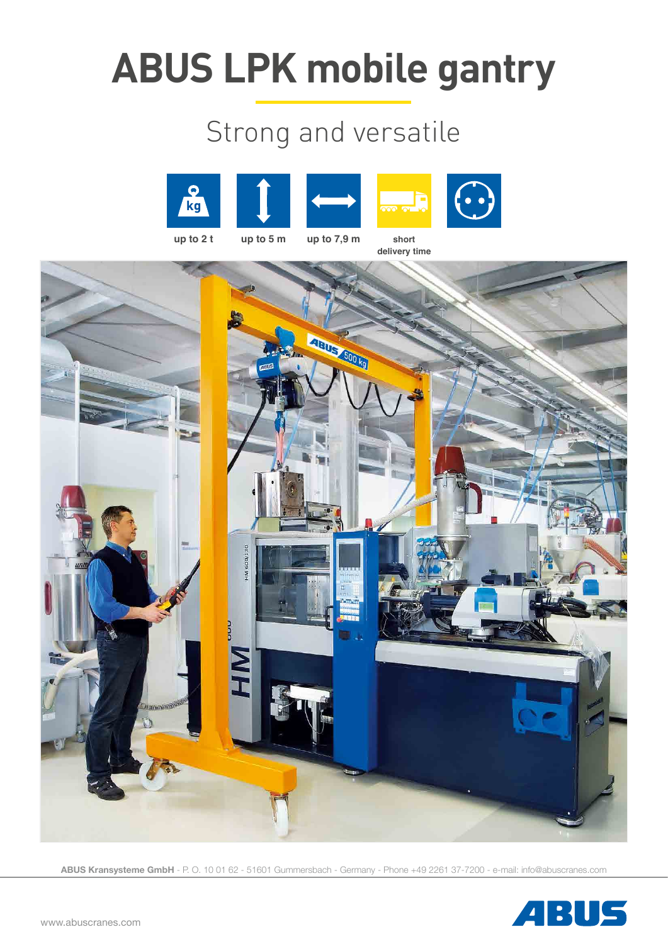# **ABUS LPK mobile gantry**

### Strong and versatile











**ABUS Kransysteme GmbH** - P. O. 10 01 62 - 51601 Gummersbach - Germany - Phone +49 2261 37-7200 - e-mail: info@abuscranes.com